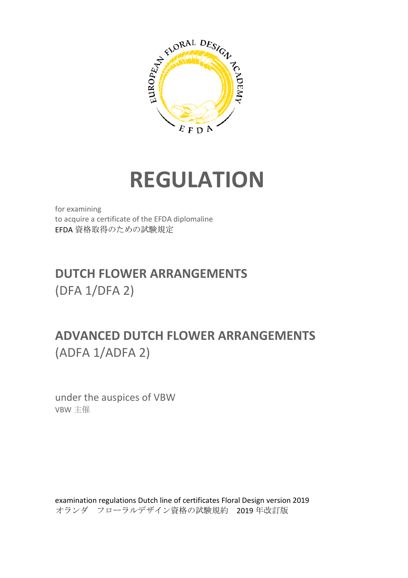

# **REGULATION**

for examining to acquire a certificate of the EFDA diplomaline EFDA 資格取得のための試験規定

## **DUTCH FLOWER ARRANGEMENTS**  (DFA 1/DFA 2)

## **ADVANCED DUTCH FLOWER ARRANGEMENTS**  (ADFA 1/ADFA 2)

under the auspices of VBW VBW 主催

examination regulations Dutch line of certificates Floral Design version 2019 オランダ フローラルデザイン資格の試験規約 2019 年改訂版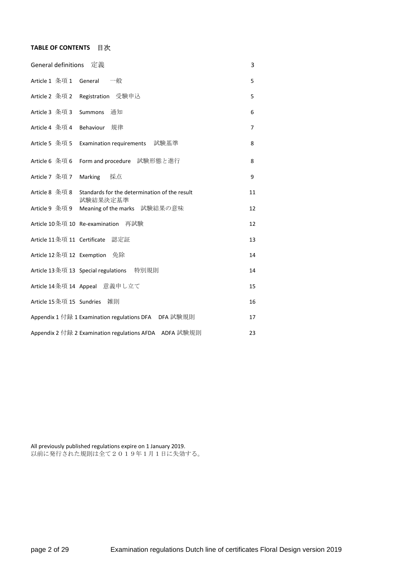#### **TABLE OF CONTENTS** 目次

| General definitions             | 定義                                                        | 3  |
|---------------------------------|-----------------------------------------------------------|----|
| Article 1 条項 1 General          | 一般                                                        | 5  |
|                                 | Article 2 条項 2 Registration 受験申込                          | 5  |
| Article 3 条項 3                  | 通知<br><b>Summons</b>                                      | 6  |
| Article 4 条項 4                  | 規律<br>Behaviour                                           | 7  |
| Article 5 条項 5                  | Examination requirements 試験基準                             | 8  |
| Article 6 条項 6                  | Form and procedure 試験形態と進行                                | 8  |
| Article 7 条項 7                  | Marking<br>採点                                             | 9  |
| Article 8 条項 8                  | Standards for the determination of the result<br>試験結果決定基準 | 11 |
|                                 | Article 9 条項 9 Meaning of the marks 試験結果の意味               | 12 |
| Article 10条項 10 Re-examination  | 再試験                                                       | 12 |
| Article 11条項 11 Certificate 認定証 |                                                           | 13 |
| Article 12 条項 12 Exemption 免除   |                                                           | 14 |
|                                 | Article 13 条項 13 Special regulations 特別規則                 | 14 |
|                                 | Article 14条項 14 Appeal 意義申し立て                             | 15 |
| Article 15 条項 15 Sundries       | 雑則                                                        | 16 |
|                                 | Appendix 1 付録 1 Examination regulations DFA DFA 試験規則      | 17 |
|                                 | Appendix 2 付録 2 Examination regulations AFDA ADFA 試験規則    | 23 |

All previously published regulations expire on 1 January 2019. 以前に発行された規則は全て2019年1月1日に失効する。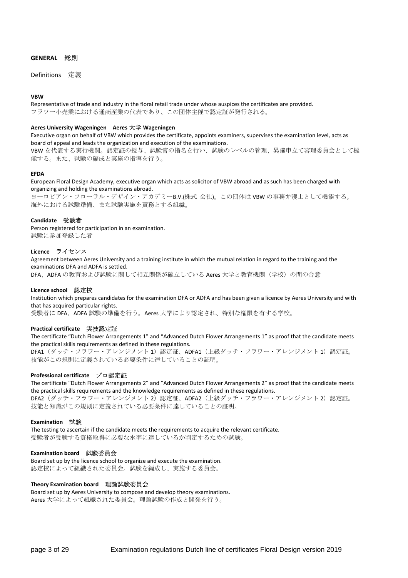#### **GENERAL** 総則

Definitions 定義

#### **VBW**

Representative of trade and industry in the floral retail trade under whose auspices the certificates are provided. フラワー小売業における通商産業の代表であり、この団体主催で認定証が発行される。

#### **Aeres University Wageningen Aeres** 大学 **Wageningen**

Executive organ on behalf of VBW which provides the certificate, appoints examiners, supervises the examination level, acts as board of appeal and leads the organization and execution of the examinations.

VBW を代表する実行機関。認定証の授与、試験官の指名を行い、試験のレベルの管理、異議申立て審理委員会として機 能する。また、試験の編成と実施の指導を行う。

#### **EFDA**

European Floral Design Academy, executive organ which acts as solicitor of VBW abroad and as such has been charged with organizing and holding the examinations abroad.

ヨーロピアン・フローラル・デザイン・アカデミーB.V.(株式 会社)。この団体は VBW の事務弁護士として機能する。 海外における試験準備、また試験実施を責務とする組織。

#### **Candidate** 受験者

Person registered for participation in an examination. 試験に参加登録した者

#### **Licence** ライセンス

Agreement between Aeres University and a training institute in which the mutual relation in regard to the training and the examinations DFA and ADFA is settled.

DFA、ADFA の教育および試験に関して相互関係が確立している Aeres 大学と教育機関(学校)の間の合意

#### **Licence school** 認定校

Institution which prepares candidates for the examination DFA or ADFA and has been given a licence by Aeres University and with that has acquired particular rights.

受験者に DFA、ADFA 試験の準備を行う。Aeres 大学により認定され、特別な権限を有する学校。

#### **Practical certificate** 実技認定証

The certificate "Dutch Flower Arrangements 1" and "Advanced Dutch Flower Arrangements 1" as proof that the candidate meets the practical skills requirements as defined in these regulations.

DFA1 (ダッチ・フラワー・アレンジメント 1)認定証、ADFA1 (上級ダッチ・フラワー・アレンジメント 1)認定証。 技能がこの規則に定義されている必要条件に達していることの証明。

#### **Professional certificate** プロ認定証

The certificate "Dutch Flower Arrangements 2" and "Advanced Dutch Flower Arrangements 2" as proof that the candidate meets the practical skills requirements and the knowledge requirements as defined in these regulations. DFA2 (ダッチ・フラワー・アレンジメント 2)認定証、ADFA2 (上級ダッチ・フラワー・アレンジメント 2)認定証。 技能と知識がこの規則に定義されている必要条件に達していることの証明。

#### **Examination** 試験

The testing to ascertain if the candidate meets the requirements to acquire the relevant certificate. 受験者が受験する資格取得に必要な水準に達しているか判定するための試験。

#### **Examination board** 試験委員会

Board set up by the licence school to organize and execute the examination. 認定校によって組織された委員会。試験を編成し、実施する委員会。

#### **Theory Examination board** 理論試験委員会

Board set up by Aeres University to compose and develop theory examinations. Aeres 大学によって組織された委員会。理論試験の作成と開発を行う。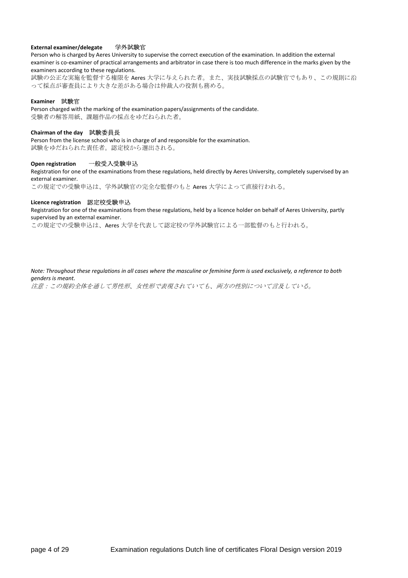#### **External examiner/delegate** 学外試験官

Person who is charged by Aeres University to supervise the correct execution of the examination. In addition the external examiner is co-examiner of practical arrangements and arbitrator in case there is too much difference in the marks given by the examiners according to these regulations.

試験の公正な実施を監督する権限を Aeres 大学に与えられた者。また、実技試験採点の試験官でもあり、この規則に沿 って採点が審査員により大きな差がある場合は仲裁人の役割も務める。

#### **Examiner** 試験官

Person charged with the marking of the examination papers/assignments of the candidate. 受験者の解答用紙、課題作品の採点をゆだねられた者。

#### **Chairman of the day** 試験委員長

Person from the license school who is in charge of and responsible for the examination. 試験をゆだねられた責任者。認定校から選出される。

#### **Open registration** 一般受入受験申込

Registration for one of the examinations from these regulations, held directly by Aeres University, completely supervised by an external examiner.

この規定での受験申込は、学外試験官の完全な監督のもと Aeres 大学によって直接行われる。

#### **Licence registration** 認定校受験申込

Registration for one of the examinations from these regulations, held by a licence holder on behalf of Aeres University, partly supervised by an external examiner.

この規定での受験申込は、Aeres 大学を代表して認定校の学外試験官による一部監督のもと行われる。

*Note: Throughout these regulations in all cases where the masculine or feminine form is used exclusively, a reference to both genders is meant.*  注意:この規約全体を通して男性形、女性形で表現されていても、両方の性別について言及している。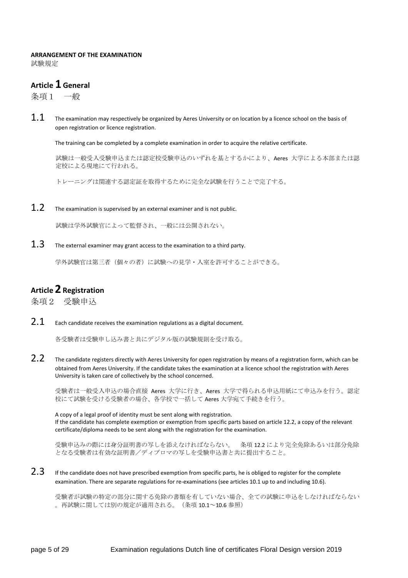#### **ARRANGEMENT OF THE EXAMINATION**

試験規定

## **Article 1 General**

条項1 一般

 $1.1$  The examination may respectively be organized by Aeres University or on location by a licence school on the basis of open registration or licence registration.

The training can be completed by a complete examination in order to acquire the relative certificate.

試験は一般受入受験申込または認定校受験申込のいずれを基とするかにより、Aeres 大学による本部または認 定校による現地にて行われる。

トレーニングは関連する認定証を取得するために完全な試験を行うことで完了する。

 $1.2$  The examination is supervised by an external examiner and is not public.

試験は学外試験官によって監督され、一般には公開されない。

 $1.3$  The external examiner may grant access to the examination to a third party.

学外試験官は第三者(個々の者)に試験への見学・入室を許可することができる。

## **Article2 Registration**

条項2 受験申込

 $2.1$  Each candidate receives the examination regulations as a digital document.

各受験者は受験申し込み書と共にデジタル版の試験規則を受け取る。

2.2 The candidate registers directly with Aeres University for open registration by means of a registration form, which can be obtained from Aeres University. If the candidate takes the examination at a licence school the registration with Aeres University is taken care of collectively by the school concerned.

受験者は一般受入申込の場合直接 Aeres 大学に行き、Aeres 大学で得られる申込用紙にて申込みを行う。認定 校にて試験を受ける受験者の場合、各学校で一括して Aeres 大学宛て手続きを行う。

A copy of a legal proof of identity must be sent along with registration. If the candidate has complete exemption or exemption from specific parts based on article 12.2, a copy of the relevant certificate/diploma needs to be sent along with the registration for the examination.

受験申込みの際には身分証明書の写しを添えなければならない。 条項 12.2 により完全免除あるいは部分免除 となる受験者は有効な証明書/ディプロマの写しを受験申込書と共に提出すること。

 $2.3$  If the candidate does not have prescribed exemption from specific parts, he is obliged to register for the complete examination. There are separate regulations for re-examinations (see articles 10.1 up to and including 10.6).

受験者が試験の特定の部分に関する免除の書類を有していない場合、全ての試験に申込をしなければならない 。再試験に関しては別の規定が適用される。(条項 10.1~10.6 参照)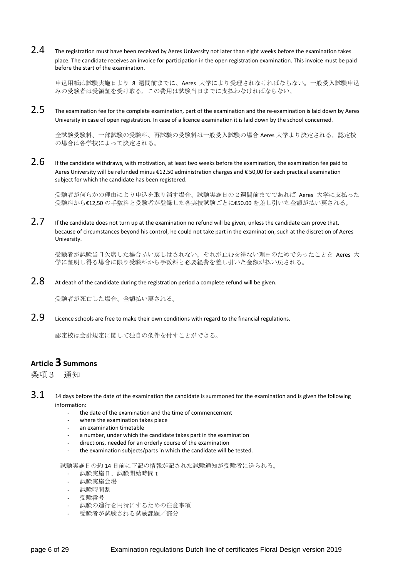$2.4$  The registration must have been received by Aeres University not later than eight weeks before the examination takes place. The candidate receives an invoice for participation in the open registration examination. This invoice must be paid before the start of the examination.

申込用紙は試験実施日より 8 週間前までに、Aeres 大学により受理されなければならない。一般受入試験申込 みの受験者は受領証を受け取る。この費用は試験当日までに支払わなければならない。

 $2.5$  The examination fee for the complete examination, part of the examination and the re-examination is laid down by Aeres University in case of open registration. In case of a licence examination it is laid down by the school concerned.

全試験受験料、一部試験の受験料、再試験の受験料は一般受入試験の場合 Aeres 大学より決定される。認定校 の場合は各学校によって決定される。

 $2.6$  If the candidate withdraws, with motivation, at least two weeks before the examination, the examination fee paid to Aeres University will be refunded minus €12,50 administration charges and € 50,00 for each practical examination subject for which the candidate has been registered.

受験者が何らかの理由により申込を取り消す場合、試験実施日の2週間前までであれば Aeres 大学に支払った 受験料から€12,50 の手数料と受験者が登録した各実技試験ごとに€50.00 を差し引いた金額が払い戻される。

 $2.7$  If the candidate does not turn up at the examination no refund will be given, unless the candidate can prove that, because of circumstances beyond his control, he could not take part in the examination, such at the discretion of Aeres University.

受験者が試験当日欠席した場合払い戻しはされない。それが止むを得ない理由のためであったことを Aeres 大 学に証明し得る場合に限り受験料から手数料と必要経費を差し引いた金額が払い戻される。

 $2.8$  At death of the candidate during the registration period a complete refund will be given.

受験者が死亡した場合、全額払い戻される。

2.9 Licence schools are free to make their own conditions with regard to the financial regulations.

認定校は会計規定に関して独自の条件を付すことができる。

#### **Article 3 Summons**

条項3 通知

- $3.1$  14 days before the date of the examination the candidate is summoned for the examination and is given the following information:
	- the date of the examination and the time of commencement
	- where the examination takes place
	- an examination timetable
	- a number, under which the candidate takes part in the examination
	- directions, needed for an orderly course of the examination
	- the examination subjects/parts in which the candidate will be tested.

試験実施日の約 14 日前に下記の情報が記された試験通知が受験者に送られる。

- 試験実施日、試験開始時間 t
- 試験実施会場
- 試験時間割
- 受験番号
- 試験の進行を円滑にするための注意事項
- 受験者が試験される試験課題/部分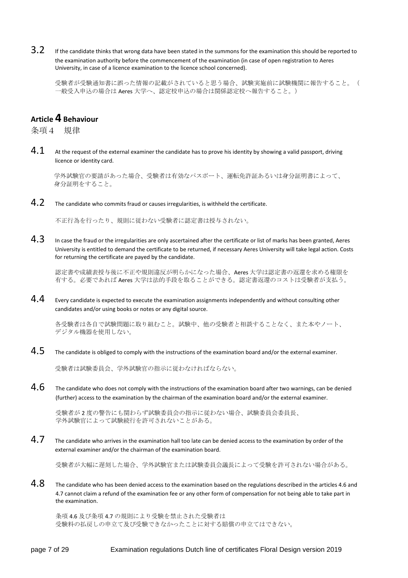3.2 If the candidate thinks that wrong data have been stated in the summons for the examination this should be reported to the examination authority before the commencement of the examination (in case of open registration to Aeres University, in case of a licence examination to the licence school concerned).

受験者が受験通知書に誤った情報の記載がされていると思う場合、試験実施前に試験機関に報告すること。( 一般受入申込の場合は Aeres 大学へ、認定校申込の場合は関係認定校へ報告すること。)

## **Article 4 Behaviour**

条項4 規律

 $4.1$  At the request of the external examiner the candidate has to prove his identity by showing a valid passport, driving licence or identity card.

学外試験官の要請があった場合、受験者は有効なパスポート、運転免許証あるいは身分証明書によって、 身分証明をすること。

4.2 The candidate who commits fraud or causes irregularities, is withheld the certificate.

不正行為を行ったり、規則に従わない受験者に認定書は授与されない。

 $4.3$  In case the fraud or the irregularities are only ascertained after the certificate or list of marks has been granted, Aeres University is entitled to demand the certificate to be returned, if necessary Aeres University will take legal action. Costs for returning the certificate are payed by the candidate.

認定書や成績表授与後に不正や規則違反が明らかになった場合、Aeres 大学は認定書の返還を求める権限を 有する。必要であれば Aeres 大学は法的手段を取ることができる。認定書返還のコストは受験者が支払う。

 $4.4$  Every candidate is expected to execute the examination assignments independently and without consulting other candidates and/or using books or notes or any digital source.

各受験者は各自で試験問題に取り組むこと。試験中、他の受験者と相談することなく、また本やノート、 デジタル機器を使用しない。

 $4.5$  The candidate is obliged to comply with the instructions of the examination board and/or the external examiner.

受験者は試験委員会、学外試験官の指示に従わなければならない。

 $4.6$  The candidate who does not comply with the instructions of the examination board after two warnings, can be denied (further) access to the examination by the chairman of the examination board and/or the external examiner.

受験者が 2 度の警告にも関わらず試験委員会の指示に従わない場合、試験委員会委員長、 学外試験官によって試験続行を許可されないことがある。

 $4.7$  The candidate who arrives in the examination hall too late can be denied access to the examination by order of the external examiner and/or the chairman of the examination board.

受験者が大幅に遅刻した場合、学外試験官または試験委員会議長によって受験を許可されない場合がある。

 $4.8$  The candidate who has been denied access to the examination based on the regulations described in the articles 4.6 and 4.7 cannot claim a refund of the examination fee or any other form of compensation for not being able to take part in the examination.

条項 4.6 及び条項 4.7 の規則により受験を禁止された受験者は 受験料の払戻しの申立て及び受験できなかったことに対する賠償の申立てはできない。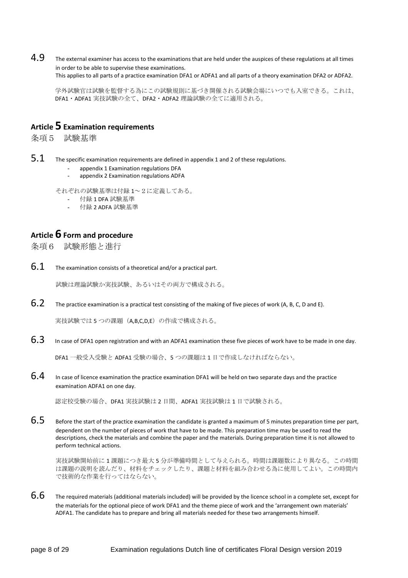4.9 The external examiner has access to the examinations that are held under the auspices of these regulations at all times in order to be able to supervise these examinations.

This applies to all parts of a practice examination DFA1 or ADFA1 and all parts of a theory examination DFA2 or ADFA2.

学外試験官は試験を監督する為にこの試験規則に基づき開催される試験会場にいつでも入室できる。これは、 DFA1・ADFA1 実技試験の全て、DFA2・ADFA2 理論試験の全てに適用される。

#### **Article 5 Examination requirements**

条項5 試験基準

- $5.1$  The specific examination requirements are defined in appendix 1 and 2 of these regulations.
	- appendix 1 Examination regulations DFA
	- appendix 2 Examination regulations ADFA

それぞれの試験基準は付録 1~2に定義してある。

- 付録 1 DFA 試験基準
- 付録 2 ADFA 試験基準

## **Article 6 Form and procedure**

条項6 試験形態と進行

 $6.1$  The examination consists of a theoretical and/or a practical part.

試験は理論試験か実技試験、あるいはその両方で構成される。

 $6.2$  The practice examination is a practical test consisting of the making of five pieces of work (A, B, C, D and E).

実技試験では5つの課題(A,B,C,D,E)の作成で構成される。

 $6.3$  In case of DFA1 open registration and with an ADFA1 examination these five pieces of work have to be made in one day.

DFA1 一般受入受験と ADFA1 受験の場合、5 つの課題は 1 日で作成しなければならない。

 $6.4$  In case of licence examination the practice examination DFA1 will be held on two separate days and the practice examination ADFA1 on one day.

認定校受験の場合、DFA1 実技試験は 2 日間、ADFA1 実技試験は 1 日で試験される。

 $6.5$  Before the start of the practice examination the candidate is granted a maximum of 5 minutes preparation time per part, dependent on the number of pieces of work that have to be made. This preparation time may be used to read the descriptions, check the materials and combine the paper and the materials. During preparation time it is not allowed to perform technical actions.

 実技試験開始前に 1 課題につき最大 5 分が準備時間として与えられる。時間は課題数により異なる。この時間 は課題の説明を読んだり、材料をチェックしたり、課題と材料を組み合わせる為に使用してよい。この時間内 で技術的な作業を行ってはならない。

 $6.6$  The required materials (additional materials included) will be provided by the licence school in a complete set, except for the materials for the optional piece of work DFA1 and the theme piece of work and the 'arrangement own materials' ADFA1. The candidate has to prepare and bring all materials needed for these two arrangements himself.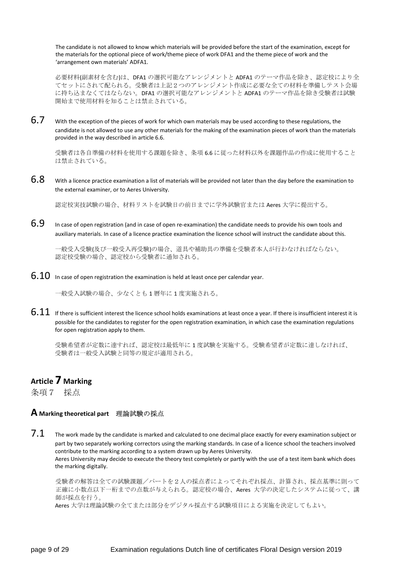The candidate is not allowed to know which materials will be provided before the start of the examination, except for the materials for the optional piece of work/theme piece of work DFA1 and the theme piece of work and the 'arrangement own materials' ADFA1.

必要材料(副素材を含む)は、DFA1 の選択可能なアレンジメントと ADFA1 のテーマ作品を除き、認定校により全 てセットにされて配られる。受験者は上記2つのアレンジメント作成に必要な全ての材料を準備しテスト会場 に持ち込まなくてはならない。DFA1 の選択可能なアレンジメントと ADFA1 のテーマ作品を除き受験者は試験 開始まで使用材料を知ることは禁止されている。

 $6.7$  With the exception of the pieces of work for which own materials may be used according to these regulations, the candidate is not allowed to use any other materials for the making of the examination pieces of work than the materials provided in the way described in article 6.6.

受験者は各自準備の材料を使用する課題を除き、条項 6.6 に従った材料以外を課題作品の作成に使用すること は禁止されている。

 $6.8$  With a licence practice examination a list of materials will be provided not later than the day before the examination to the external examiner, or to Aeres University.

認定校実技試験の場合、材料リストを試験日の前日までに学外試験官または Aeres 大学に提出する。

6.9 In case of open registration (and in case of open re-examination) the candidate needs to provide his own tools and auxiliary materials. In case of a licence practice examination the licence school will instruct the candidate about this.

一般受入受験(及び一般受入再受験)の場合、道具や補助具の準備を受験者本人が行わなければならない。 認定校受験の場合、認定校から受験者に通知される。

 $6.10$  In case of open registration the examination is held at least once per calendar year.

一般受入試験の場合、少なくとも 1 暦年に 1 度実施される。

 $6.11$  If there is sufficient interest the licence school holds examinations at least once a year. If there is insufficient interest it is possible for the candidates to register for the open registration examination, in which case the examination regulations for open registration apply to them.

受験希望者が定数に達すれば、認定校は最低年に 1 度試験を実施する。受験希望者が定数に達しなければ、 受験者は一般受入試験と同等の規定が適用される。

## **Article 7 Marking**

条項7 採点

#### **A Marking theoretical part** 理論試験の採点

 $7.1$  The work made by the candidate is marked and calculated to one decimal place exactly for every examination subject or part by two separately working correctors using the marking standards. In case of a licence school the teachers involved contribute to the marking according to a system drawn up by Aeres University. Aeres University may decide to execute the theory test completely or partly with the use of a test item bank which does the marking digitally.

 受験者の解答は全ての試験課題/パートを2人の採点者によってそれぞれ採点、計算され、採点基準に則って 正確に小数点以下一桁までの点数が与えられる。認定校の場合、Aeres 大学の決定したシステムに従って、講 師が採点を行う。

Aeres 大学は理論試験の全てまたは部分をデジタル採点する試験項目による実施を決定してもよい。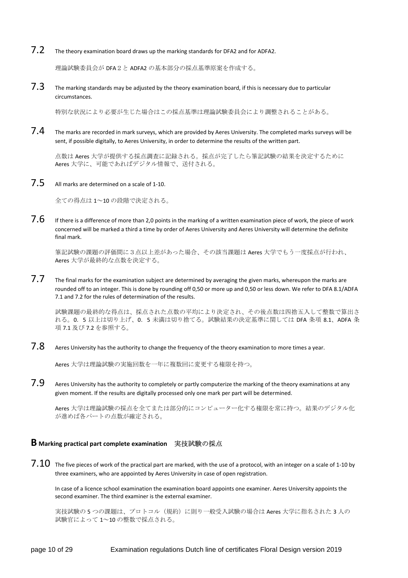7.2 The theory examination board draws up the marking standards for DFA2 and for ADFA2.

理論試験委員会が DFA2と ADFA2 の基本部分の採点基準原案を作成する。

 $7.3$  The marking standards may be adjusted by the theory examination board, if this is necessary due to particular circumstances.

特別な状況により必要が生じた場合はこの採点基準は理論試験委員会により調整されることがある。

 $7.4$  The marks are recorded in mark surveys, which are provided by Aeres University. The completed marks surveys will be sent, if possible digitally, to Aeres University, in order to determine the results of the written part.

点数は Aeres 大学が提供する採点調査に記録される。採点が完了したら筆記試験の結果を決定するために Aeres 大学に、可能であればデジタル情報で、送付される。

7.5 All marks are determined on a scale of 1-10.

全ての得点は 1~10 の段階で決定される。

7.6 If there is a difference of more than 2,0 points in the marking of a written examination piece of work, the piece of work concerned will be marked a third a time by order of Aeres University and Aeres University will determine the definite final mark.

筆記試験の課題の評価間に3点以上差があった場合、その該当課題は Aeres 大学でもう一度採点が行われ、 Aeres 大学が最終的な点数を決定する。

 $7.7$  The final marks for the examination subject are determined by averaging the given marks, whereupon the marks are rounded off to an integer. This is done by rounding off 0,50 or more up and 0,50 or less down. We refer to DFA 8.1/ADFA 7.1 and 7.2 for the rules of determination of the results.

試験課題の最終的な得点は、採点された点数の平均により決定され、その後点数は四捨五入して整数で算出さ れる。0.5 以上は切り上げ、0.5 未満は切り捨てる。試験結果の決定基準に関しては DFA 条項 8.1、ADFA 条 項 7.1 及び 7.2 を参照する。

7.8 Aeres University has the authority to change the frequency of the theory examination to more times a year.

Aeres 大学は理論試験の実施回数を一年に複数回に変更する権限を持つ。

 $7.9$  Aeres University has the authority to completely or partly computerize the marking of the theory examinations at any given moment. If the results are digitally processed only one mark per part will be determined.

Aeres 大学は理論試験の採点を全てまたは部分的にコンピューター化する権限を常に持つ。結果のデジタル化 が進めば各パートの点数が確定される。

#### **B Marking practical part complete examination** 実技試験の採点

 $7.10$  The five pieces of work of the practical part are marked, with the use of a protocol, with an integer on a scale of 1-10 by three examiners, who are appointed by Aeres University in case of open registration.

In case of a licence school examination the examination board appoints one examiner. Aeres University appoints the second examiner. The third examiner is the external examiner.

実技試験の5つの課題は、プロトコル(規約)に則り一般受入試験の場合は Aeres 大学に指名された3人の 試験官によって 1~10 の整数で採点される。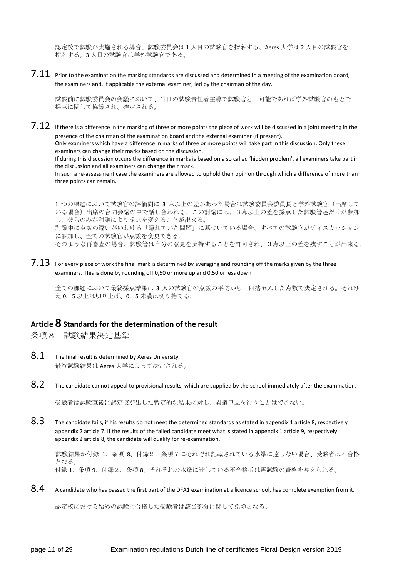認定校で試験が実施される場合、試験委員会は1人目の試験官を指名する。Aeres 大学は 2 人目の試験官を 指名する。3 人目の試験官は学外試験官である。

 $7.11$  Prior to the examination the marking standards are discussed and determined in a meeting of the examination board, the examiners and, if applicable the external examiner, led by the chairman of the day.

試験前に試験委員会の会議において、当日の試験責任者主導で試験官と、可能であれば学外試験官のもとで 採点に関して協議され、確定される。

 $7.12$  If there is a difference in the marking of three or more points the piece of work will be discussed in a joint meeting in the presence of the chairman of the examination board and the external examiner (if present). Only examiners which have a difference in marks of three or more points will take part in this discussion. Only these examiners can change their marks based on the discussion. If during this discussion occurs the difference in marks is based on a so called 'hidden problem', all examiners take part in the discussion and all examiners can change their mark.

In such a re-assessment case the examiners are allowed to uphold their opinion through which a difference of more than three points can remain.

1 つの課題において試験官の評価間に 3 点以上の差があった場合は試験委員会委員長と学外試験官(出席して いる場合)出席の合同会議の中で話し合われる。この討議には、3点以上の差を採点した試験管達だけが参加 し、彼らのみが討議により採点を変えることが出来る。 討議中に点数の違いがいわゆる「隠れていた問題」に基づいている場合、すべての試験官がディスカッション

に参加し、全ての試験官が点数を変更できる。 そのような再審査の場合、試験管は自分の意見を支持することを許可され、3点以上の差を残すことが出来る。

 $7.13$  For everv piece of work the final mark is determined by averaging and rounding off the marks given by the three examiners. This is done by rounding off 0,50 or more up and 0,50 or less down.

全ての課題において最終採点結果は 3 人の試験官の点数の平均から 四捨五入した点数で決定される。それゆ え 0.5 以上は切り上げ、0.5 未満は切り捨てる。

#### **Article 8 Standards for the determination of the result**

条項8 試験結果決定基準

- $8.1$  The final result is determined by Aeres University. 最終試験結果は Aeres 大学によって決定される。
- $8.2$  The candidate cannot appeal to provisional results, which are supplied by the school immediately after the examination.

受験者は試験直後に認定校が出した暫定的な結果に対し、異議申立を行うことはできない。

8.3 The candidate fails, if his results do not meet the determined standards as stated in appendix 1 article 8, respectively appendix 2 article 7. If the results of the failed candidate meet what is stated in appendix 1 article 9, respectively appendix 2 article 8, the candidate will qualify for re-examination.

試験結果が付録 1.条項 8、付録2.条項7にそれぞれ記載されている水準に達しない場合、受験者は不合格 となる。 付録 1.条項 9、付録2.条項 8、それぞれの水準に達している不合格者は再試験の資格を与えられる。

 $8.4$  A candidate who has passed the first part of the DFA1 examination at a licence school, has complete exemption from it.

認定校における始めの試験に合格した受験者は該当部分に関して免除となる。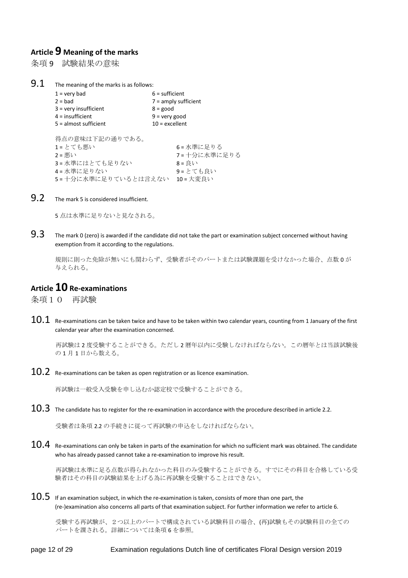### **Article 9 Meaning of the marks**

条項9 試験結果の意味

 $9.1$  The meaning of the marks is as follows:

| $1 =$ very bad          | $6$ = sufficient                                        |             |  |
|-------------------------|---------------------------------------------------------|-------------|--|
| $2 = bad$               | $7 =$ amply sufficient<br>$8 = good$<br>$9 =$ very good |             |  |
| $3 =$ very insufficient |                                                         |             |  |
| $4 =$ insufficient      |                                                         |             |  |
| $5 =$ almost sufficient | $10 =$ excellent                                        |             |  |
| 得点の意味は下記の通りである。         |                                                         |             |  |
| 1=とても悪い                 |                                                         | 6=水準に足りる    |  |
| $2 =  $                 |                                                         | 7=十分に水準に足りる |  |
| 3=水準にはとても足りない           |                                                         | $8 = 1.1$   |  |
| 4=水準に足りない               |                                                         | 9=とても良い     |  |
| 5=十分に水準に足りているとは言えない     |                                                         | 10 = 大変良い   |  |

9.2 The mark 5 is considered insufficient.

5 点は水準に足りないと見なされる。

 $9.3$  The mark 0 (zero) is awarded if the candidate did not take the part or examination subject concerned without having exemption from it according to the regulations.

 規則に則った免除が無いにも関わらず、受験者がそのパートまたは試験課題を受けなかった場合、点数 0 が 与えられる。

#### **Article 10 Re-examinations**

条項10 再試験

 $10.1~\,$  Re-examinations can be taken twice and have to be taken within two calendar years, counting from 1 January of the first calendar year after the examination concerned.

再試験は 2 度受験することができる。ただし 2 暦年以内に受験しなければならない。この暦年とは当該試験後 の 1 月 1 日から数える。

 $10.2$  Re-examinations can be taken as open registration or as licence examination.

再試験は一般受入受験を申し込むか認定校で受験することができる。

 $10.3$  The candidate has to register for the re-examination in accordance with the procedure described in article 2.2.

受験者は条項 2.2 の手続きに従って再試験の申込をしなければならない。

 $10.4$  Re-examinations can only be taken in parts of the examination for which no sufficient mark was obtained. The candidate who has already passed cannot take a re-examination to improve his result.

再試験は水準に足る点数が得られなかった科目のみ受験することができる。すでにその科目を合格している受 験者はその科目の試験結果を上げる為に再試験を受験することはできない。

 $10.5\;$  If an examination subject, in which the re-examination is taken, consists of more than one part, the (re-)examination also concerns all parts of that examination subject. For further information we refer to article 6.

受験する再試験が、2つ以上のパートで構成されている試験科目の場合、(再)試験もその試験科目の全ての パートを課される。詳細については条項 6 を参照。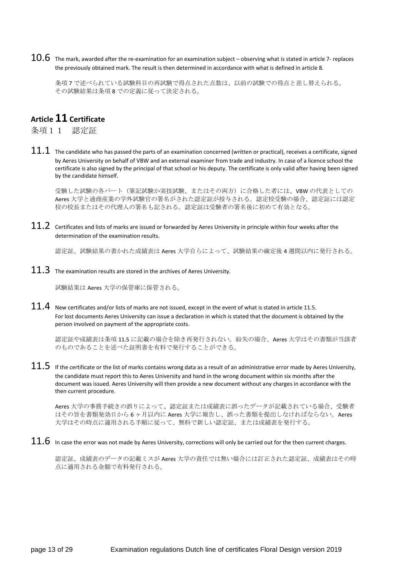$10.6\;$  The mark, awarded after the re-examination for an examination subject – observing what is stated in article 7- replaces the previously obtained mark. The result is then determined in accordance with what is defined in article 8.

条項 7 で述べられている試験科目の再試験で得点された点数は、以前の試験での得点と差し替えられる。 その試験結果は条項 8 での定義に従って決定される。

## **Article 11 Certificate**

条項11 認定証

 $11.1$  The candidate who has passed the parts of an examination concerned (written or practical), receives a certificate, signed by Aeres University on behalf of VBW and an external examiner from trade and industry. In case of a licence school the certificate is also signed by the principal of that school or his deputy. The certificate is only valid after having been signed by the candidate himself.

受験した試験の各パート(筆記試験か実技試験、またはその両方)に合格した者には、VBW の代表としての Aeres 大学と通商産業の学外試験官の署名がされた認定証が授与される。認定校受験の場合、認定証には認定 校の校長またはその代理人の署名も記される。認定証は受験者の署名後に初めて有効となる。

 $11.2$  Certificates and lists of marks are issued or forwarded by Aeres University in principle within four weeks after the determination of the examination results.

認定証、試験結果の書かれた成績表は Aeres 大学自らによって、試験結果の確定後 4 週間以内に発行される。

 $11.3$  The examination results are stored in the archives of Aeres University.

試験結果は Aeres 大学の保管庫に保管される。

 $11.4$  New certificates and/or lists of marks are not issued, except in the event of what is stated in article 11.5. For lost documents Aeres University can issue a declaration in which is stated that the document is obtained by the person involved on payment of the appropriate costs.

認定証や成績表は条項 11.5 に記載の場合を除き再発行されない。紛失の場合、Aeres 大学はその書類が当該者 のものであることを述べた証明書を有料で発行することができる。

 $11.5$  If the certificate or the list of marks contains wrong data as a result of an administrative error made by Aeres University, the candidate must report this to Aeres University and hand in the wrong document within six months after the document was issued. Aeres University will then provide a new document without any charges in accordance with the then current procedure.

Aeres 大学の事務手続きの誤りによって、認定証または成績表に誤ったデータが記載されている場合、受験者 はその旨を書類発効日から 6 ヶ月以内に Aeres 大学に報告し、誤った書類を提出しなければならない。Aeres 大学はその時点に適用される手順に従って、無料で新しい認定証、または成績表を発行する。

 $11.6\;$  In case the error was not made by Aeres University, corrections will only be carried out for the then current charges.

認定証、成績表のデータの記載ミスが Aeres 大学の責任では無い場合には訂正された認定証、成績表はその時 点に適用される金額で有料発行される。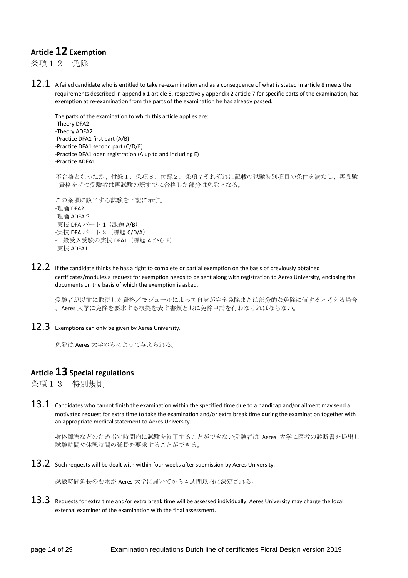## **Article 12 Exemption**

条項12 免除

 $12.1\;$  A failed candidate who is entitled to take re-examination and as a consequence of what is stated in article 8 meets the requirements described in appendix 1 article 8, respectively appendix 2 article 7 for specific parts of the examination, has exemption at re-examination from the parts of the examination he has already passed.

```
The parts of the examination to which this article applies are: 
-Theory DFA2 
-Theory ADFA2 
-Practice DFA1 first part (A/B) 
-Practice DFA1 second part (C/D/E) 
-Practice DFA1 open registration (A up to and including E) 
-Practice ADFA1 
不合格となったが、付録1.条項8、付録2.条項7それぞれに記載の試験特別項目の条件を満たし、再受験
 資格を持つ受験者は再試験の際すでに合格した部分は免除となる。
この条項に該当する試験を下記に示す。
-理論 DFA2 
-理論 ADFA2
-実技 DFA パート1 (課題 A/B)
-実技 DFA パート2 (課題 C/D/A)
-一般受入受験の実技 DFA1 (課題 A から E)
```
 $12.2$  If the candidate thinks he has a right to complete or partial exemption on the basis of previously obtained certificates/modules a request for exemption needs to be sent along with registration to Aeres University, enclosing the documents on the basis of which the exemption is asked.

受験者が以前に取得した資格/モジュールによって自身が完全免除または部分的な免除に値すると考える場合 、Aeres 大学に免除を要求する根拠を表す書類と共に免除申請を行わなければならない。

 $12.3$  Exemptions can only be given by Aeres University.

免除は Aeres 大学のみによって与えられる。

## **Article 13 Special regulations**

条項13 特別規則

-実技 ADFA1

 $13.1\;$  Candidates who cannot finish the examination within the specified time due to a handicap and/or ailment may send a motivated request for extra time to take the examination and/or extra break time during the examination together with an appropriate medical statement to Aeres University.

身体障害などのため指定時間内に試験を終了することができない受験者は Aeres 大学に医者の診断書を提出し 試験時間や休憩時間の延長を要求することができる。

 $13.2$  Such requests will be dealt with within four weeks after submission by Aeres University.

試験時間延長の要求が Aeres 大学に届いてから 4 週間以内に決定される。

 $13.3$  Requests for extra time and/or extra break time will be assessed individually. Aeres University may charge the local external examiner of the examination with the final assessment.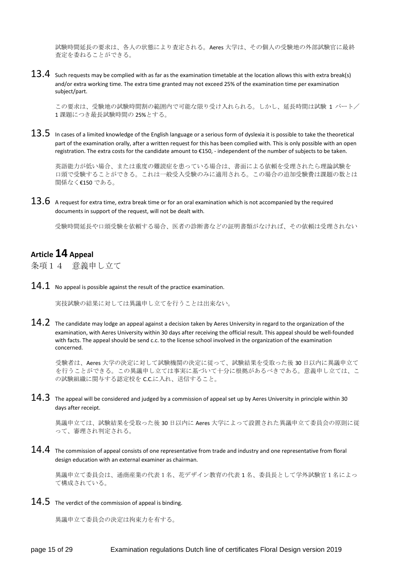試験時間延長の要求は、各人の状態により査定される。Aeres 大学は、その個人の受験地の外部試験官に最終 査定を委ねることができる。

 $13.4\;$  Such requests may be complied with as far as the examination timetable at the location allows this with extra break(s) and/or extra working time. The extra time granted may not exceed 25% of the examination time per examination subject/part.

この要求は、受験地の試験時間割の範囲内で可能な限り受け入れられる。しかし、延長時間は試験 1 パート/ 1 課題につき最長試験時間の 25%とする。

 $13.5\;$  In cases of a limited knowledge of the English language or a serious form of dyslexia it is possible to take the theoretical part of the examination orally, after a written request for this has been complied with. This is only possible with an open registration. The extra costs for the candidate amount to €150, - independent of the number of subjects to be taken.

英語能力が低い場合、または重度の難読症を患っている場合は、書面による依頼を受理されたら理論試験を 口頭で受験することができる。これは一般受入受験のみに適用される。この場合の追加受験費は課題の数とは 関係なく€150 である。

 $13.6\;$  A request for extra time, extra break time or for an oral examination which is not accompanied by the required documents in support of the request, will not be dealt with.

受験時間延長や口頭受験を依頼する場合、医者の診断書などの証明書類がなければ、その依頼は受理されない

## **Article 14 Appeal**

条項14 意義申し立て

 $14.1$  No appeal is possible against the result of the practice examination.

実技試験の結果に対しては異議申し立てを行うことは出来ない。

 $14.2$  The candidate may lodge an appeal against a decision taken by Aeres University in regard to the organization of the examination, with Aeres University within 30 days after receiving the official result. This appeal should be well-founded with facts. The appeal should be send c.c. to the license school involved in the organization of the examination concerned.

受験者は、Aeres 大学の決定に対して試験機関の決定に従って、試験結果を受取った後 30 日以内に異議申立て を行うことができる。この異議申し立ては事実に基づいて十分に根拠があるべきである。意義申し立ては、こ の試験組織に関与する認定校を C.C.に入れ、送信すること。

 $14.3$  The appeal will be considered and judged by a commission of appeal set up by Aeres University in principle within 30 days after receipt.

異議申立ては、試験結果を受取った後 30 日以内に Aeres 大学によって設置された異議申立て委員会の原則に従 って、審理され判定される。

 $14.4$  The commission of appeal consists of one representative from trade and industry and one representative from floral design education with an external examiner as chairman.

異議申立て委員会は、通商産業の代表1名、花デザイン教育の代表 1 名、委員長として学外試験官1名によっ て構成されている。

 $14.5$  The verdict of the commission of appeal is binding.

異議申立て委員会の決定は拘束力を有する。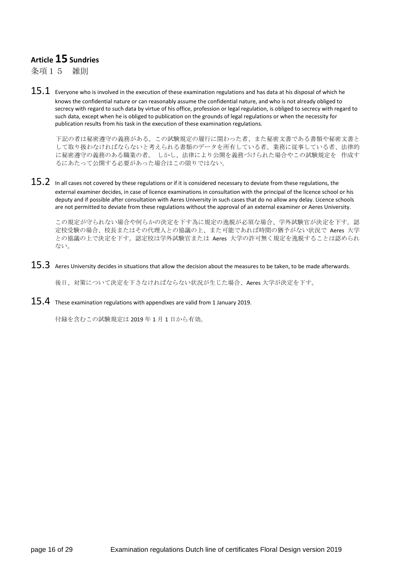## **Article 15 Sundries**

条項15 雑則

 $15.1\;$  Everyone who is involved in the execution of these examination regulations and has data at his disposal of which he knows the confidential nature or can reasonably assume the confidential nature, and who is not already obliged to secrecy with regard to such data by virtue of his office, profession or legal regulation, is obliged to secrecy with regard to such data, except when he is obliged to publication on the grounds of legal regulations or when the necessity for publication results from his task in the execution of these examination regulations.

下記の者は秘密遵守の義務がある。この試験規定の履行に関わった者、また秘密文書である書類や秘密文書と して取り扱わなければならないと考えられる書類のデータを所有している者。業務に従事している者、法律的 に秘密遵守の義務のある職業の者。 しかし、法律により公開を義務づけられた場合やこの試験規定を 作成す るにあたって公開する必要があった場合はこの限りではない。

 $15.2\;$  In all cases not covered by these regulations or if it is considered necessary to deviate from these regulations, the external examiner decides, in case of licence examinations in consultation with the principal of the licence school or his deputy and if possible after consultation with Aeres University in such cases that do no allow any delay. Licence schools are not permitted to deviate from these regulations without the approval of an external examiner or Aeres University.

この規定が守られない場合や何らかの決定を下す為に規定の逸脱が必須な場合、学外試験官が決定を下す。認 定校受験の場合、校長またはその代理人との協議の上、また可能であれば時間の猶予がない状況で Aeres 大学 との協議の上で決定を下す。認定校は学外試験官または Aeres 大学の許可無く規定を逸脱することは認められ ない。

 $15.3$  Aeres University decides in situations that allow the decision about the measures to be taken, to be made afterwards.

後日、対策について決定を下さなければならない状況が生じた場合、Aeres 大学が決定を下す。

 $15.4$  These examination regulations with appendixes are valid from 1 January 2019.

付録を含むこの試験規定は 2019 年 1 月 1 日から有効。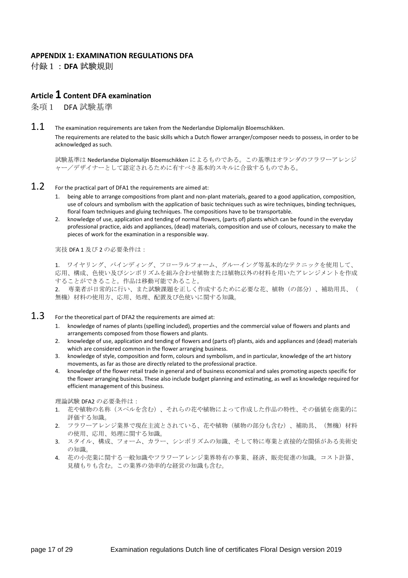#### **APPENDIX 1: EXAMINATION REGULATIONS DFA**  付録1:**DFA** 試験規則

## **Article 1 Content DFA examination**

条項1 DFA 試験基準

 $1.1$  The examination requirements are taken from the Nederlandse Diplomalijn Bloemschikken. The requirements are related to the basic skills which a Dutch flower arranger/composer needs to possess, in order to be acknowledged as such.

試験基準は Nederlandse Diplomalijn Bloemschikken によるものである。この基準はオランダのフラワーアレンジ ャー/デザイナーとして認定されるために有すべき基本的スキルに合致するものである。

#### $1.2$  For the practical part of DFA1 the requirements are aimed at:

- 1. being able to arrange compositions from plant and non-plant materials, geared to a good application, composition, use of colours and symbolism with the application of basic techniques such as wire techniques, binding techniques, floral foam techniques and gluing techniques. The compositions have to be transportable.
- 2. knowledge of use, application and tending of normal flowers, (parts of) plants which can be found in the everyday professional practice, aids and appliances, (dead) materials, composition and use of colours, necessary to make the pieces of work for the examination in a responsible way.

実技 DFA 1 及び 2 の必要条件は:

1. ワイヤリング、バインディング、フローラルフォーム、グルーイング等基本的なテクニックを使用して、 応用、構成、色使い及びシンボリズムを組み合わせ植物または植物以外の材料を用いたアレンジメントを作成 することができること。作品は移動可能であること。

2. 専業者が日常的に行い、また試験課題を正しく作成するために必要な花、植物(の部分)、補助用具、( 無機)材料の使用方、応用、処理、配置及び色使いに関する知識。

- $1.3$  For the theoretical part of DFA2 the requirements are aimed at:
	- 1. knowledge of names of plants (spelling included), properties and the commercial value of flowers and plants and arrangements composed from those flowers and plants.
	- 2. knowledge of use, application and tending of flowers and (parts of) plants, aids and appliances and (dead) materials which are considered common in the flower arranging business.
	- 3. knowledge of style, composition and form, colours and symbolism, and in particular, knowledge of the art history movements, as far as those are directly related to the professional practice.
	- 4. knowledge of the flower retail trade in general and of business economical and sales promoting aspects specific for the flower arranging business. These also include budget planning and estimating, as well as knowledge required for efficient management of this business.

理論試験 DFA2 の必要条件は:

- 1. 花や植物の名称(スペルを含む)、それらの花や植物によって作成した作品の特性、その価値を商業的に 評価する知識。
- 2. フラワーアレンジ業界で現在主流とされている、花や植物(植物の部分も含む)、補助具、(無機)材料 の使用、応用、処理に関する知識。
- 3. スタイル、構成、フォーム、カラー、シンボリズムの知識、そして特に専業と直接的な関係がある美術史 の知識。
- 4. 花の小売業に関する一般知識やフラワーアレンジ業界特有の事業、経済、販売促進の知識。コスト計算、 見積もりも含む。この業界の効率的な経営の知識も含む。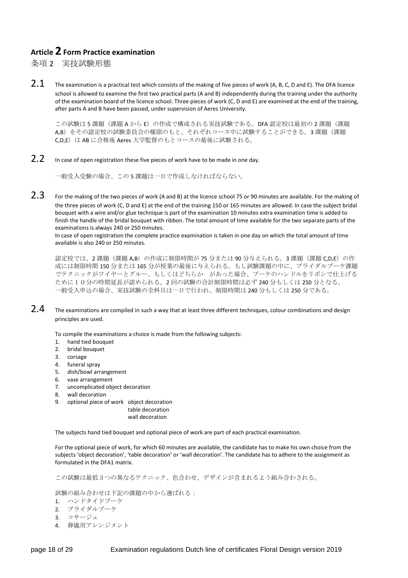## **Article 2 Form Practice examination**

条項 2 実技試験形態

2.1 The examination is a practical test which consists of the making of five pieces of work (A, B, C, D and E). The DFA licence school is allowed to examine the first two practical parts (A and B) independently during the training under the authority of the examination board of the licence school. Three pieces of work (C, D and E) are examined at the end of the training, after parts A and B have been passed, under supervision of Aeres University.

この試験は5課題(課題AからE)の作成で構成される実技試験である。DFA 認定校は最初の2課題(課題 A,B) をその認定校の試験委員会の権限のもと、それぞれコース中に試験することができる。3課題(課題 C.D.E)は AB に合格後 Aeres 大学監督のもとコースの最後に試験される。

2.2 In case of open registration these five pieces of work have to be made in one day.

一般受入受験の場合、この 5 課題は一日で作成しなければならない。

 $2.3$  For the making of the two pieces of work (A and B) at the licence school 75 or 90 minutes are available. For the making of the three pieces of work (C, D and E) at the end of the training 150 or 165 minutes are allowed. In case the subject bridal bouquet with a wire and/or glue technique is part of the examination 10 minutes extra examination time is added to finish the handle of the bridal bouquet with ribbon. The total amount of time available for the two separate parts of the examinations is always 240 or 250 minutes.

In case of open registration the complete practice examination is taken in one day on which the total amount of time available is also 240 or 250 minutes.

認定校では、2課題(課題 A,B)の作成に制限時間が 75 分または 90 分与えられる。3課題(課題 C,D,E)の作 成には制限時間 150 分または 165 分が授業の最後に与えられる。もし試験課題の中に、ブライダルブーケ課題 でテクニックがワイヤーとグルー、もしくはどちらか があった場合、ブーケのハンドルをリボンで仕上げる ために10分の時間延長が認められる。2 回の試験の合計制限時間は必ず 240 分もしくは 250 分となる。 一般受入申込の場合、実技試験の全科目は一日で行われ、制限時間は 240 分もしくは 250 分である。

 $2.4$  The examinations are compiled in such a way that at least three different techniques, colour combinations and design principles are used.

To compile the examinations a choice is made from the following subjects:

- 1. hand tied bouquet
- 2. bridal bouquet
- 3. corsage
- 4. funeral spray
- 5. dish/bowl arrangement
- 6. vase arrangement
- 7. uncomplicated object decoration
- 8. wall decoration
- 9. optional piece of work object decoration

table decoration wall decoration

The subjects hand tied bouquet and optional piece of work are part of each practical examination.

For the optional piece of work, for which 60 minutes are available, the candidate has to make his own choice from the subjects 'object decoration', 'table decoration' or 'wall decoration'. The candidate has to adhere to the assignment as formulated in the DFA1 matrix.

この試験は最低3つの異なるテクニック、色合わせ、デザインが含まれるよう組み合わされる。

試験の組み合わせは下記の課題の中から選ばれる:

- 1. ハンドタイドブーケ
- 2. ブライダルブーケ
- 3. コサージュ
- 4. 葬儀用アレンジメント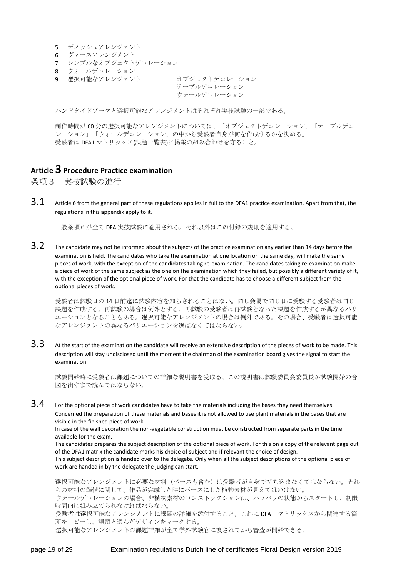- 5. ディッシュアレンジメント
- 6. ヴァースアレンジメント
- 7. シンプルなオブジェクトデコレーション
- 8. ウォールデコレーション
- 9. 選択可能なアレンジメント オブジェクトデコレーション

テーブルデコレーション ウォールデコレーション

ハンドタイドブーケと選択可能なアレンジメントはそれぞれ実技試験の一部である。

制作時間が 60 分の選択可能なアレンジメントについては、「オブジェクトデコレーション」「テーブルデコ レーション」「ウォールデコレーション」の中から受験者自身が何を作成するかを決める。 受験者は DFA1 マトリックス(課題一覧表)に掲載の組み合わせを守ること。

## **Article 3 Procedure Practice examination**

条項3 実技試験の進行

 $3.1$  Article 6 from the general part of these regulations applies in full to the DFA1 practice examination. Apart from that, the regulations in this appendix apply to it.

一般条項6が全て DFA 実技試験に適用される。それ以外はこの付録の規則を適用する。

 $3.2$  The candidate may not be informed about the subjects of the practice examination any earlier than 14 days before the examination is held. The candidates who take the examination at one location on the same day, will make the same pieces of work, with the exception of the candidates taking re-examination. The candidates taking re-examination make a piece of work of the same subject as the one on the examination which they failed, but possibly a different variety of it, with the exception of the optional piece of work. For that the candidate has to choose a different subject from the optional pieces of work.

受験者は試験日の 14 日前迄に試験内容を知らされることはない。同じ会場で同じ日に受験する受験者は同じ 課題を作成する。再試験の場合は例外とする。再試験の受験者は再試験となった課題を作成するが異なるバリ エーションとなることもある。選択可能なアレンジメントの場合は例外である。その場合、受験者は選択可能 なアレンジメントの異なるバリエーションを選ばなくてはならない。

 $3.3$  At the start of the examination the candidate will receive an extensive description of the pieces of work to be made. This description will stay undisclosed until the moment the chairman of the examination board gives the signal to start the examination.

試験開始時に受験者は課題についての詳細な説明書を受取る。この説明書は試験委員会委員長が試験開始の合 図を出すまで読んではならない。

 $3.4$  For the optional piece of work candidates have to take the materials including the bases they need themselves. Concerned the preparation of these materials and bases it is not allowed to use plant materials in the bases that are visible in the finished piece of work.

 In case of the wall decoration the non-vegetable construction must be constructed from separate parts in the time available for the exam.

 The candidates prepares the subject description of the optional piece of work. For this on a copy of the relevant page out of the DFA1 matrix the candidate marks his choice of subject and if relevant the choice of design. This subject description is handed over to the delegate. Only when all the subject descriptions of the optional piece of work are handed in by the delegate the judging can start.

選択可能なアレンジメントに必要な材料(ベースも含む)は受験者が自身で持ち込まなくてはならない。それ らの材料の準備に関して、作品が完成した時にベースにした植物素材が見えてはいけない。 ウォールデコレーションの場合、非植物素材のコンストラクションは、バラバラの状態からスタートし、制限

時間内に組み立てられなければならない。 受験者は選択可能なアレンジメントに課題の詳細を添付すること。これに DFA1マトリックスから関連する箇 所をコピーし、課題と選んだデザインをマークする。

選択可能なアレンジメントの課題詳細が全て学外試験官に渡されてから審査が開始できる。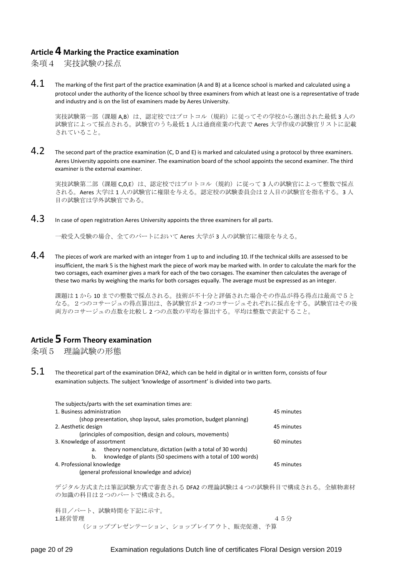#### **Article 4 Marking the Practice examination**

条項4 実技試験の採点

 $4.1$  The marking of the first part of the practice examination (A and B) at a licence school is marked and calculated using a protocol under the authority of the licence school by three examiners from which at least one is a representative of trade and industry and is on the list of examiners made by Aeres University.

実技試験第一部(課題 A,B)は、認定校ではプロトコル(規約)に従ってその学校から選出された最低 3 人の 試験官によって採点される。試験官のうち最低 1 人は通商産業の代表で Aeres 大学作成の試験官リストに記載 されていること。

 $4.2$  The second part of the practice examination (C, D and E) is marked and calculated using a protocol by three examiners. Aeres University appoints one examiner. The examination board of the school appoints the second examiner. The third examiner is the external examiner.

実技試験第二部(課題 C,D,E)は、認定校ではプロトコル(規約)に従って3人の試験官によって整数で採点 される。Aeres 大学は 1 人の試験官に権限を与える。認定校の試験委員会は2人目の試験官を指名する。3 人 目の試験官は学外試験官である。

 $4.3$  In case of open registration Aeres University appoints the three examiners for all parts.

一般受入受験の場合、全てのパートにおいて Aeres 大学が 3 人の試験官に権限を与える。

 $4.4$  The pieces of work are marked with an integer from 1 up to and including 10. If the technical skills are assessed to be insufficient, the mark 5 is the highest mark the piece of work may be marked with. In order to calculate the mark for the two corsages, each examiner gives a mark for each of the two corsages. The examiner then calculates the average of these two marks by weighing the marks for both corsages equally. The average must be expressed as an integer.

課題は 1 から 10 までの整数で採点される。技術が不十分と評価された場合その作品が得る得点は最高で5と なる。2つのコサージュの得点算出は、各試験官が 2 つのコサージュそれぞれに採点をする。試験官はその後 両方のコサージュの点数を比較し 2 つの点数の平均を算出する。平均は整数で表記すること。

## **Article 5 Form Theory examination**

条項5 理論試験の形態

 $5.1$  The theoretical part of the examination DFA2, which can be held in digital or in written form, consists of four examination subjects. The subject 'knowledge of assortment' is divided into two parts.

| The subjects/parts with the set examination times are:                  |            |
|-------------------------------------------------------------------------|------------|
| 1. Business administration                                              | 45 minutes |
| (shop presentation, shop layout, sales promotion, budget planning)      |            |
| 2. Aesthetic design                                                     | 45 minutes |
| (principles of composition, design and colours, movements)              |            |
| 3. Knowledge of assortment                                              | 60 minutes |
| theory nomenclature, dictation (with a total of 30 words)<br>a.         |            |
| knowledge of plants (50 specimens with a total of 100 words)<br>$b_{1}$ |            |
| 4. Professional knowledge                                               | 45 minutes |
| (general professional knowledge and advice)                             |            |
|                                                                         |            |
| デジタル方式または筆記試験方式で審査される DFA2 の理論試験は4つの試験科目で構成される。全植物素材                    |            |
| の知識の科目は2つのパートで構成される。                                                    |            |
|                                                                         |            |
| 科目/パート、試験時間を下記に示す。                                                      |            |

 $1.$ 経営管理 2012年 2012年 2月10日 1月11日 1月11日 1月11日 1月11日 1月11日 1月11日 1月11日 1月11日 1月11日 1月11日 1月11日 1月11日 1月11日 1月11日 1月11日 1月11日 1月11日 1月11日 1月11日 1月11日 1月11日 1月11日 1月11日 1月11日 1月11日 1月11日 1月11日 1月11日 1月11日 1月11日 1月11日 1月11日 1

(ショッププレゼンテーション、ショップレイアウト、販売促進、予算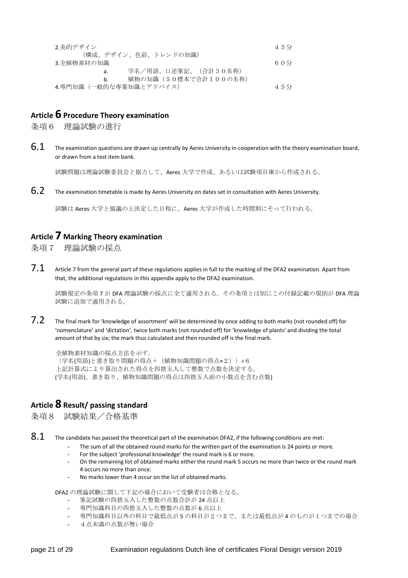| 2.美的デザイン                   | 45分 |
|----------------------------|-----|
| (構成、デザイン、色彩、トレンドの知識)       |     |
| 3.全植物素材の知識                 | 60分 |
| 学名/用語、口述筆記、(合計30名称)<br>а.  |     |
| 植物の知識(50標本で合計100の名称)<br>b. |     |
| 4.専門知識(一般的な専業知識とアドバイス)     | 45分 |

## **Article 6 Procedure Theory examination**

条項6 理論試験の進行

 $6.1$  The examination questions are drawn up centrally by Aeres University in cooperation with the theory examination board. or drawn from a test item bank.

試験問題は理論試験委員会と協力して、Aeres 大学で作成、あるいは試験項目庫から作成される。

6.2 The examination timetable is made by Aeres University on dates set in consultation with Aeres University.

試験は Aeres 大学と協議の上決定した日程に、Aeres 大学が作成した時間割にそって行われる。

### **Article 7 Marking Theory examination**

条項7 理論試験の採点

 $7.1$  Article 7 from the general part of these regulations applies in full to the marking of the DFA2 examination. Apart from that, the additional regulations in this appendix apply to the DFA2 examination.

試験規定の条項 7 が DFA 理論試験の採点に全て適用される。その条項とは別にこの付録記載の規則が DFA 理論 試験に追加で適用される。

 $7.2$  The final mark for 'knowledge of assortment' will be determined by once adding to both marks (not rounded off) for 'nomenclature' and 'dictation', twice both marks (not rounded off) for 'knowledge of plants' and dividing the total amount of that by six; the mark thus calculated and then rounded off is the final mark.

```
全植物素材知識の採点方法を示す。
{学名(用語)と書き取り問題の得点+(植物知識問題の得点×2)}÷6
上記計算式により算出された得点を四捨五入して整数で点数を決定する。
 (学名(用語)、書き取り、植物知識問題の得点は四捨五入前の小数点を含む点数)
```
## **Article 8 Result/ passing standard**

条項8 試験結果/合格基準

 $8.1$  The candidate has passed the theoretical part of the examination DFA2, if the following conditions are met:

- The sum of all the obtained round marks for the written part of the examination is 24 points or more.
- For the subject 'professional knowledge' the round mark is 6 or more.
- On the remaining list of obtained marks either the round mark 5 occurs no more than twice or the round mark 4 occurs no more than once.
- No marks lower than 4 occur on the list of obtained marks.

DFA2 の理論試験に関して下記の場合において受験者は合格となる。

- 筆記試験の四捨五入した整数の点数合計が 24 点以上
- 専門知識科目の四捨五入した整数の点数が 6 点以上
- 専門知識科目以外の科目で最低点が 5 の科目が2つまで、または最低点が 4 のものが1つまでの場合
- 4点未満の点数が無い場合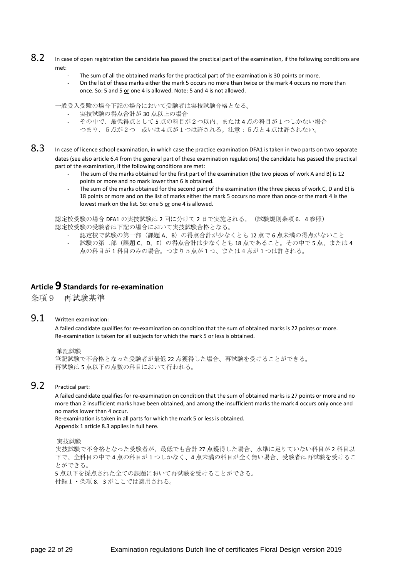- 8.2 In case of open registration the candidate has passed the practical part of the examination, if the following conditions are met:
	- The sum of all the obtained marks for the practical part of the examination is 30 points or more.
	- On the list of these marks either the mark 5 occurs no more than twice or the mark 4 occurs no more than once. So: 5 and 5 or one 4 is allowed. Note: 5 and 4 is not allowed.

一般受入受験の場合下記の場合において受験者は実技試験合格となる。

- 実技試験の得点合計が 30 点以上の場合
- その中で、最低得点として 5 点の科目が2つ以内、または 4 点の科目が1つしかない場合 つまり、5点が2つ 或いは4点が1つは許される。注意:5点と4点は許されない。
- 8.3 In case of licence school examination, in which case the practice examination DFA1 is taken in two parts on two separate dates (see also article 6.4 from the general part of these examination regulations) the candidate has passed the practical part of the examination, if the following conditions are met:
	- The sum of the marks obtained for the first part of the examination (the two pieces of work A and B) is 12 points or more and no mark lower than 6 is obtained.
	- The sum of the marks obtained for the second part of the examination (the three pieces of work C, D and E) is 18 points or more and on the list of marks either the mark 5 occurs no more than once or the mark 4 is the lowest mark on the list. So: one 5 or one 4 is allowed.

認定校受験の場合 DFA1 の実技試験は 2 回に分けて 2 日で実施される。(試験規則条項 6.4 参照) 認定校受験の受験者は下記の場合において実技試験合格となる。

- 認定校で試験の第一部(課題 A、B)の得点合計が少なくとも 12 点で6点未満の得点がないこと
- 試験の第二部(課題 C、D、E)の得点合計は少なくとも18点であること。その中で5点、または4 点の科目が 1 科目のみの場合。つまり5点が1つ、または4点が 1 つは許される。

## **Article 9 Standards for re-examination**

条項9 再試験基準

#### 9.1 Written examination:

A failed candidate qualifies for re-examination on condition that the sum of obtained marks is 22 points or more. Re-examination is taken for all subjects for which the mark 5 or less is obtained.

#### 筆記試験

```
筆記試験で不合格となった受験者が最低 22 点獲得した場合、再試験を受けることができる。
再試験は 5 点以下の点数の科目において行われる。
```
#### 9.2 Practical part:

A failed candidate qualifies for re-examination on condition that the sum of obtained marks is 27 points or more and no more than 2 insufficient marks have been obtained, and among the insufficient marks the mark 4 occurs only once and no marks lower than 4 occur.

Re-examination is taken in all parts for which the mark 5 or less is obtained. Appendix 1 article 8.3 applies in full here.

実技試験

実技試験で不合格となった受験者が、最低でも合計 27 点獲得した場合、水準に足りていない科目が 2 科目以 下で、全科目の中で 4 点の科目が 1 つしかなく、4 点未満の科目が全く無い場合、受験者は再試験を受けるこ とができる。

5 点以下を採点された全ての課題において再試験を受けることができる。 付録1・条項 8.3 がここでは適用される。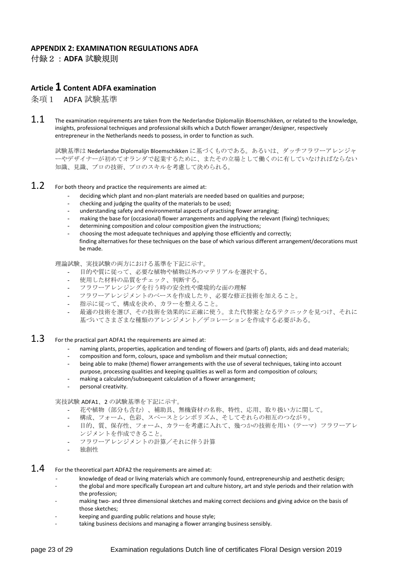#### **APPENDIX 2: EXAMINATION REGULATIONS ADFA**  付録2:**ADFA** 試験規則

#### **Article 1 Content ADFA examination**

条項1 ADFA 試験基準

 $1.1$  The examination requirements are taken from the Nederlandse Diplomalijn Bloemschikken, or related to the knowledge, insights, professional techniques and professional skills which a Dutch flower arranger/designer, respectively entrepreneur in the Netherlands needs to possess, in order to function as such.

試験基準は Nederlandse Diplomalijn Bloemschikken に基づくものである。あるいは、ダッチフラワーアレンジャ ーやデザイナーが初めてオランダで起業するために、またその立場として働くのに有していなければならない 知識、見識、プロの技術、プロのスキルを考慮して決められる。

#### $1.2$  For both theory and practice the requirements are aimed at:

- deciding which plant and non-plant materials are needed based on qualities and purpose;
- checking and judging the quality of the materials to be used;
- understanding safety and environmental aspects of practising flower arranging;
- making the base for (occasional) flower arrangements and applying the relevant (fixing) techniques;
- determining composition and colour composition given the instructions;
- choosing the most adequate techniques and applying those efficiently and correctly;
- finding alternatives for these techniques on the base of which various different arrangement/decorations must be made.

理論試験、実技試験の両方における基準を下記に示す。

- 目的や質に従って、必要な植物や植物以外のマテリアルを選択する。
- 使用した材料の品質をチェック、判断する。
- フラワーアレンジングを行う時の安全性や環境的な面の理解
- フラワーアレンジメントのベースを作成したり、必要な修正技術を加えること。
- 指示に従って、構成を決め、カラーを整えること。
- 最適の技術を選び、その技術を効果的に正確に使う。また代替案となるテクニックを見つけ、それに 基づいてさまざまな種類のアレンジメント/デコレーションを作成する必要がある。
- $1.3$  For the practical part ADFA1 the requirements are aimed at:
	- naming plants, properties, application and tending of flowers and (parts of) plants, aids and dead materials;
	- composition and form, colours, space and symbolism and their mutual connection;
	- being able to make (theme) flower arrangements with the use of several techniques, taking into account purpose, processing qualities and keeping qualities as well as form and composition of colours;
	- making a calculation/subsequent calculation of a flower arrangement;
	- personal creativity.

実技試験 ADFA1、2 の試験基準を下記に示す。

- 花や植物(部分も含む)、補助具、無機資材の名称、特性、応用、取り扱い方に関して。
- 構成、フォーム、色彩、スペースとシンボリズム、そしてそれらの相互のつながり。
- 目的、質、保存性、フォーム、カラーを考慮に入れて、幾つかの技術を用い(テーマ)フラワーアレ ンジメントを作成できること。
- フラワーアレンジメントの計算/それに伴う計算
- 独創性
- $1.4$  For the theoretical part ADFA2 the requirements are aimed at:
	- knowledge of dead or living materials which are commonly found, entrepreneurship and aesthetic design;
	- the global and more specifically European art and culture history, art and style periods and their relation with the profession;
	- making two- and three dimensional sketches and making correct decisions and giving advice on the basis of those sketches;
	- keeping and guarding public relations and house style;
	- taking business decisions and managing a flower arranging business sensibly.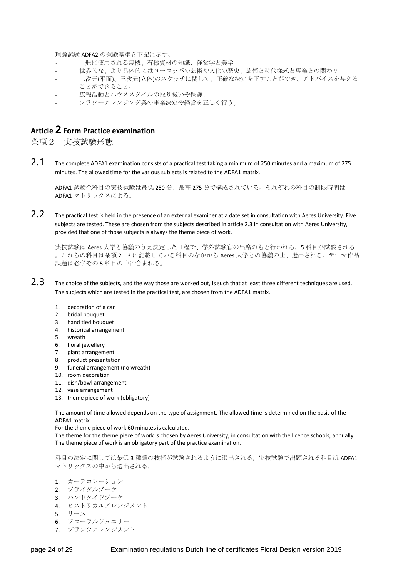理論試験 ADFA2 の試験基準を下記に示す。

- 一般に使用される無機、有機資材の知識、経営学と美学
- 世界的な、より具体的にはヨーロッパの芸術や文化の歴史、芸術と時代様式と専業との関わり
- 二次元(平面)、三次元(立体)のスケッチに関して、正確な決定を下すことができ、アドバイスを与える ことができること。
- 広報活動とハウススタイルの取り扱いや保護。
- フラワーアレンジング業の事業決定や経営を正しく行う。

## **Article 2 Form Practice examination**

条項2 実技試験形態

 $2.1$  The complete ADFA1 examination consists of a practical test taking a minimum of 250 minutes and a maximum of 275 minutes. The allowed time for the various subjects is related to the ADFA1 matrix.

ADFA1 試験全科目の実技試験は最低 250 分、最高 275 分で構成されている。それぞれの科目の制限時間は ADFA1 マトリックスによる。

2.2 The practical test is held in the presence of an external examiner at a date set in consultation with Aeres University. Five subjects are tested. These are chosen from the subjects described in article 2.3 in consultation with Aeres University, provided that one of those subjects is always the theme piece of work.

実技試験は Aeres 大学と協議のうえ決定した日程で、学外試験官の出席のもと行われる。5 科目が試験される 。これらの科目は条項 2.3 に記載している科目のなかから Aeres 大学との協議の上、選出される。テーマ作品 課題は必ずその5科目の中に含まれる。

- $2.3$  The choice of the subjects, and the way those are worked out, is such that at least three different techniques are used. The subjects which are tested in the practical test, are chosen from the ADFA1 matrix.
	- 1. decoration of a car
	- 2. bridal bouquet
	- 3. hand tied bouquet
	- 4. historical arrangement
	- 5. wreath
	- 6. floral jewellery
	- 7. plant arrangement
	- 8. product presentation
	- 9. funeral arrangement (no wreath)
	- 10. room decoration
	- 11. dish/bowl arrangement
	- 12. vase arrangement
	- 13. theme piece of work (obligatory)

The amount of time allowed depends on the type of assignment. The allowed time is determined on the basis of the ADFA1 matrix.

For the theme piece of work 60 minutes is calculated.

The theme for the theme piece of work is chosen by Aeres University, in consultation with the licence schools, annually. The theme piece of work is an obligatory part of the practice examination.

科目の決定に関しては最低 3 種類の技術が試験されるように選出される。実技試験で出題される科目は ADFA1 マトリックスの中から選出される。

- 1. カーデコレーション
- 2. ブライダルブーケ
- 3. ハンドタイドブーケ
- 4. ヒストリカルアレンジメント
- 5. リース
- 6. フローラルジュエリー
- 7. プランツアレンジメント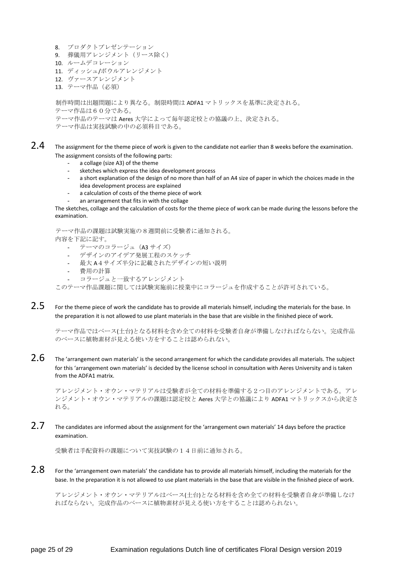- 8. プロダクトプレゼンテーション
- 9. 葬儀用アレンジメント(リース除く)
- 10. ルームデコレーション
- 11. ディッシュ/ボウルアレンジメント
- 12. ヴァースアレンジメント
- 13. テーマ作品(必須)

制作時間は出題問題により異なる。制限時間は ADFA1 マトリックスを基準に決定される。 テーマ作品は60分である。 テーマ作品のテーマは Aeres 大学によって毎年認定校との協議の上、決定される。

- テーマ作品は実技試験の中の必須科目である。
- $2.4$  The assignment for the theme piece of work is given to the candidate not earlier than 8 weeks before the examination. The assignment consists of the following parts:
	- a collage (size A3) of the theme
	- sketches which express the idea development process
	- a short explanation of the design of no more than half of an A4 size of paper in which the choices made in the idea development process are explained
	- a calculation of costs of the theme piece of work
	- an arrangement that fits in with the collage

The sketches, collage and the calculation of costs for the theme piece of work can be made during the lessons before the examination.

テーマ作品の課題は試験実施の8週間前に受験者に通知される。 内容を下記に記す。

- テーマのコラージュ (A3 サイズ)
- デザインのアイデア発展工程のスケッチ
- 最大 A4サイズ半分に記載されたデザインの短い説明
- 費用の計算
- コラージュと一致するアレンジメント

このテーマ作品課題に関しては試験実施前に授業中にコラージュを作成することが許可されている。

2.5 For the theme piece of work the candidate has to provide all materials himself, including the materials for the base. In the preparation it is not allowed to use plant materials in the base that are visible in the finished piece of work.

テーマ作品ではベース(土台)となる材料を含め全ての材料を受験者自身が準備しなければならない。完成作品 のベースに植物素材が見える使い方をすることは認められない。

 $2.6$  The 'arrangement own materials' is the second arrangement for which the candidate provides all materials. The subject for this 'arrangement own materials' is decided by the license school in consultation with Aeres University and is taken from the ADFA1 matrix.

アレンジメント・オウン・マテリアルは受験者が全ての材料を準備する2つ目のアレンジメントである。アレ ンジメント・オウン・マテリアルの課題は認定校と Aeres 大学との協議により ADFA1 マトリックスから決定さ れる。

2.7 The candidates are informed about the assignment for the 'arrangement own materials' 14 days before the practice examination.

受験者は手配資料の課題について実技試験の14日前に通知される。

2.8 For the 'arrangement own materials' the candidate has to provide all materials himself, including the materials for the base. In the preparation it is not allowed to use plant materials in the base that are visible in the finished piece of work.

アレンジメント・オウン・マテリアルはベース(土台)となる材料を含め全ての材料を受験者自身が準備しなけ ればならない。完成作品のベースに植物素材が見える使い方をすることは認められない。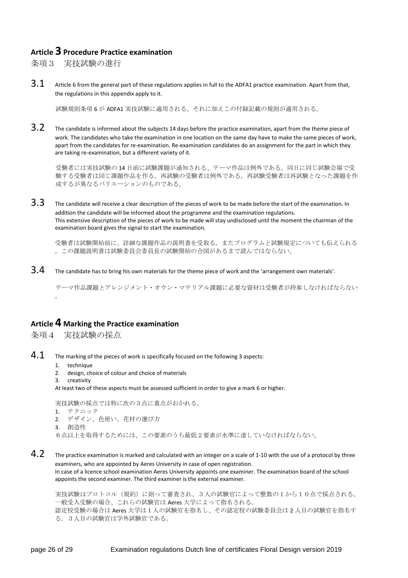## **Article 3 Procedure Practice examination**

条項3 実技試験の進行

 $3.1$  Article 6 from the general part of these regulations applies in full to the ADFA1 practice examination. Apart from that, the regulations in this appendix apply to it.

試験規則条項 6 が ADFA1 実技試験に適用される。それに加えこの付録記載の規則が適用される。

3.2 The candidate is informed about the subjects 14 days before the practice examination, apart from the theme piece of work. The candidates who take the examination in one location on the same day have to make the same pieces of work, apart from the candidates for re-examination. Re-examination candidates do an assignment for the part in which they are taking re-examination, but a different variety of it.

受験者には実技試験の 14 日前に試験課題が通知される、テーマ作品は例外である。同日に同じ試験会場で受 験する受験者は同じ課題作品を作る。再試験の受験者は例外である。再試験受験者は再試験となった課題を作 成するが異なるバリエーションのものである。

3.3 The candidate will receive a clear description of the pieces of work to be made before the start of the examination. In addition the candidate will be informed about the programme and the examination regulations. This extensive description of the pieces of work to be made will stay undisclosed until the moment the chairman of the examination board gives the signal to start the examination.

受験者は試験開始前に、詳細な課題作品の説明書を受取る。またプログラムと試験規定についても伝えられる 。この課題説明書は試験委員会委員長の試験開始の合図があるまで読んではならない。

 $3.4$  The candidate has to bring his own materials for the theme piece of work and the 'arrangement own materials'.

テーマ作品課題とアレンジメント・オウン・マテリアル課題に必要な資材は受験者が持参しなければならない  $\ddot{\phantom{0}}$ 

## **Article 4 Marking the Practice examination**

条項4 実技試験の採点

- $4.1$  The marking of the pieces of work is specifically focused on the following 3 aspects:
	- 1. technique
	- 2. design, choice of colour and choice of materials
	- 3. creativity

At least two of these aspects must be assessed sufficient in order to give a mark 6 or higher.

実技試験の採点では特に次の3点に重点がおかれる。 1. テクニック 2. デザイン、色使い、花材の選び方 3. 創造性 6点以上を取得するためには、この要素のうち最低2要素が水準に達していなければならない。

 $4.2$  The practice examination is marked and calculated with an integer on a scale of 1-10 with the use of a protocol by three examiners, who are appointed by Aeres University in case of open registration.

In case of a licence school examination Aeres University appoints one examiner. The examination board of the school appoints the second examiner. The third examiner is the external examiner.

実技試験はプロトコル(規約)に則って審査され、3人の試験官によって整数の1から10点で採点される。 一般受入受験の場合、これらの試験官は Aeres 大学によって指名される。 認定校受験の場合は Aeres 大学は1人の試験官を指名し、その認定校の試験委員会は 2 人目の試験官を指名す る。3人目の試験官は学外試験官である。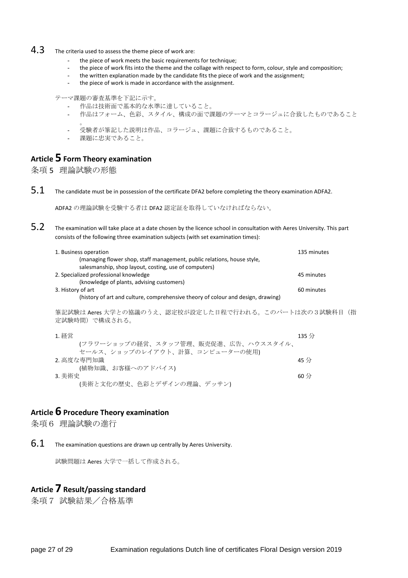## 4.3 The criteria used to assess the theme piece of work are:

- the piece of work meets the basic requirements for technique;
- the piece of work fits into the theme and the collage with respect to form, colour, style and composition;
- the written explanation made by the candidate fits the piece of work and the assignment;
- the piece of work is made in accordance with the assignment.

テーマ課題の審査基準を下記に示す。

- 作品は技術面で基本的な水準に達していること。
- 作品はフォーム、色彩、スタイル、構成の面で課題のテーマとコラージュに合致したものであること  $\circ$
- 受験者が筆記した説明は作品、コラージュ、課題に合致するものであること。
- 課題に忠実であること。

## **Article 5 Form Theory examination**

条項 5 理論試験の形態

 $5.1$  The candidate must be in possession of the certificate DFA2 before completing the theory examination ADFA2.

ADFA2 の理論試験を受験する者は DFA2 認定証を取得していなければならない。

5.2 The examination will take place at a date chosen by the licence school in consultation with Aeres University. This part consists of the following three examination subjects (with set examination times):

| 1. Business operation<br>(managing flower shop, staff management, public relations, house style,<br>salesmanship, shop layout, costing, use of computers) | 135 minutes           |  |
|-----------------------------------------------------------------------------------------------------------------------------------------------------------|-----------------------|--|
| 2. Specialized professional knowledge<br>(knowledge of plants, advising customers)                                                                        | 45 minutes            |  |
| 3. History of art<br>(history of art and culture, comprehensive theory of colour and design, drawing)                                                     | 60 minutes            |  |
| 筆記試験は Aeres 大学との協議のうえ、認定校が設定した日程で行われる。このパートは次の3試験科目(指<br>定試験時間)で構成される。                                                                                    |                       |  |
| 1. 経営<br>(フラワーショップの経営、スタッフ管理、販売促進、広告、ハウススタイル、<br>セールス、ショップのレイアウト、計算、コンピューターの使用)                                                                           | $135$ 分               |  |
| 2. 高度な専門知識<br>(植物知識、お客様へのアドバイス)                                                                                                                           | $45 \nleftrightarrow$ |  |
| 3. 美術史<br>(美術と文化の歴史、色彩とデザインの理論、デッサン)                                                                                                                      | $60 \nleftrightarrow$ |  |

#### **Article 6 Procedure Theory examination**

条項6 理論試験の進行

 $6.1$  The examination questions are drawn up centrally by Aeres University.

試験問題は Aeres 大学で一括して作成される。

## **Article 7 Result/passing standard**

条項7 試験結果/合格基準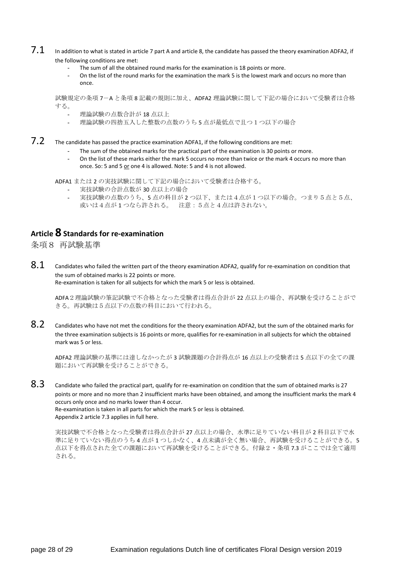- $7.1$  In addition to what is stated in article 7 part A and article 8, the candidate has passed the theory examination ADFA2, if the following conditions are met:
	- The sum of all the obtained round marks for the examination is 18 points or more.
	- On the list of the round marks for the examination the mark 5 is the lowest mark and occurs no more than once.

試験規定の条項 7-A と条項 8 記載の規則に加え、ADFA2 理論試験に関して下記の場合において受験者は合格 する。

- 理論試験の点数合計が 18 点以上
- 理論試験の四捨五入した整数の点数のうち5点が最低点で且つ1つ以下の場合
- 7.2 The candidate has passed the practice examination ADFA1, if the following conditions are met:
	- The sum of the obtained marks for the practical part of the examination is 30 points or more.
	- On the list of these marks either the mark 5 occurs no more than twice or the mark 4 occurs no more than once. So: 5 and 5 or one 4 is allowed. Note: 5 and 4 is not allowed.

ADFA1 または 2 の実技試験に関して下記の場合において受験者は合格する。

- 実技試験の合計点数が 30 点以上の場合
- 実技試験の点数のうち、5点の科目が2つ以下、または4点が1つ以下の場合。つまり5点と5点、 或いは4点が 1 つなら許される。 注意:5点と4点は許されない。

## **Article 8 Standards for re-examination**

条項8 再試験基準

 $8.1$  Candidates who failed the written part of the theory examination ADFA2, qualify for re-examination on condition that the sum of obtained marks is 22 points or more. Re-examination is taken for all subjects for which the mark 5 or less is obtained.

ADFA2理論試験の筆記試験で不合格となった受験者は得点合計が 22 点以上の場合、再試験を受けることがで きる。再試験は5点以下の点数の科目において行われる。

8.2 Candidates who have not met the conditions for the theory examination ADFA2, but the sum of the obtained marks for the three examination subjects is 16 points or more, qualifies for re-examination in all subjects for which the obtained mark was 5 or less.

ADFA2 理論試験の基準には達しなかったが 3 試験課題の合計得点が 16 点以上の受験者は 5 点以下の全ての課 題において再試験を受けることができる。

8.3 Candidate who failed the practical part, qualify for re-examination on condition that the sum of obtained marks is 27 points or more and no more than 2 insufficient marks have been obtained, and among the insufficient marks the mark 4 occurs only once and no marks lower than 4 occur. Re-examination is taken in all parts for which the mark 5 or less is obtained. Appendix 2 article 7.3 applies in full here.

実技試験で不合格となった受験者は得点合計が 27 点以上の場合、水準に足りていない科目が 2 科目以下で水 準に足りていない得点のうち 4 点が 1 つしかなく、4 点未満が全く無い場合、再試験を受けることができる。5 点以下を得点された全ての課題において再試験を受けることができる。付録2・条項 7.3 がここでは全て適用 される。